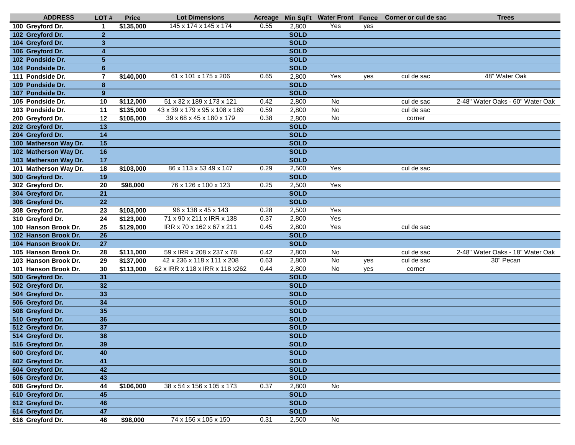| <b>ADDRESS</b>        | LOT#                    | <b>Price</b>     | <b>Lot Dimensions</b>           |      |             | Acreage Min SqFt Water Front Fence |     | Corner or cul de sac | <b>Trees</b>                     |
|-----------------------|-------------------------|------------------|---------------------------------|------|-------------|------------------------------------|-----|----------------------|----------------------------------|
| 100 Greyford Dr.      | $\mathbf 1$             | \$135,000        | 145 x 174 x 145 x 174           | 0.55 | 2,800       | Yes                                | ves |                      |                                  |
| 102 Greyford Dr.      | $\overline{2}$          |                  |                                 |      | <b>SOLD</b> |                                    |     |                      |                                  |
| 104 Greyford Dr.      | $\mathbf{3}$            |                  |                                 |      | <b>SOLD</b> |                                    |     |                      |                                  |
| 106 Greyford Dr.      | $\overline{\mathbf{4}}$ |                  |                                 |      | <b>SOLD</b> |                                    |     |                      |                                  |
| 102 Pondside Dr.      | $5\phantom{1}$          |                  |                                 |      | <b>SOLD</b> |                                    |     |                      |                                  |
| 104 Pondside Dr.      | $6\phantom{1}$          |                  |                                 |      | <b>SOLD</b> |                                    |     |                      |                                  |
| 111 Pondside Dr.      | 7                       | \$140,000        | 61 x 101 x 175 x 206            | 0.65 | 2,800       | Yes                                | yes | cul de sac           | 48" Water Oak                    |
| 109 Pondside Dr.      | $\bf8$                  |                  |                                 |      | <b>SOLD</b> |                                    |     |                      |                                  |
| 107 Pondside Dr.      | 9                       |                  |                                 |      | <b>SOLD</b> |                                    |     |                      |                                  |
| 105 Pondside Dr.      | 10                      | \$112,000        | 51 x 32 x 189 x 173 x 121       | 0.42 | 2,800       | <b>No</b>                          |     | cul de sac           | 2-48" Water Oaks - 60" Water Oak |
| 103 Pondside Dr.      | 11                      | \$135,000        | 43 x 39 x 179 x 95 x 108 x 189  | 0.59 | 2,800       | No                                 |     | cul de sac           |                                  |
| 200 Greyford Dr.      | 12                      | \$105,000        | 39 x 68 x 45 x 180 x 179        | 0.38 | 2,800       | No                                 |     | corner               |                                  |
| 202 Greyford Dr.      | $\overline{13}$         |                  |                                 |      | <b>SOLD</b> |                                    |     |                      |                                  |
| 204 Greyford Dr.      | 14                      |                  |                                 |      | <b>SOLD</b> |                                    |     |                      |                                  |
| 100 Matherson Way Dr. | 15                      |                  |                                 |      | <b>SOLD</b> |                                    |     |                      |                                  |
| 102 Matherson Way Dr. | 16                      |                  |                                 |      | <b>SOLD</b> |                                    |     |                      |                                  |
| 103 Matherson Way Dr. | 17                      |                  |                                 |      | <b>SOLD</b> |                                    |     |                      |                                  |
| 101 Matherson Way Dr. | 18                      | \$103,000        | 86 x 113 x 53 49 x 147          | 0.29 | 2,500       | Yes                                |     | cul de sac           |                                  |
| 300 Greyford Dr.      | 19                      |                  |                                 |      | <b>SOLD</b> |                                    |     |                      |                                  |
| 302 Greyford Dr.      | 20                      | \$98,000         | 76 x 126 x 100 x 123            | 0.25 | 2,500       | Yes                                |     |                      |                                  |
| 304 Greyford Dr.      | 21                      |                  |                                 |      | <b>SOLD</b> |                                    |     |                      |                                  |
| 306 Greyford Dr.      | 22                      |                  |                                 |      | <b>SOLD</b> |                                    |     |                      |                                  |
| 308 Greyford Dr.      | 23                      | \$103,000        | 96 x 138 x 45 x 143             | 0.28 | 2,500       | Yes                                |     |                      |                                  |
| 310 Greyford Dr.      | $\overline{24}$         | \$123,000        | 71 x 90 x 211 x IRR x 138       | 0.37 | 2,800       | Yes                                |     |                      |                                  |
| 100 Hanson Brook Dr.  | 25                      | \$129,000        | IRR x 70 x 162 x 67 x 211       | 0.45 | 2,800       | Yes                                |     | cul de sac           |                                  |
| 102 Hanson Brook Dr.  | 26                      |                  |                                 |      | <b>SOLD</b> |                                    |     |                      |                                  |
| 104 Hanson Brook Dr.  | 27                      |                  |                                 |      | <b>SOLD</b> |                                    |     |                      |                                  |
| 105 Hanson Brook Dr.  | 28                      | \$111,000        | 59 x IRR x 208 x 237 x 78       | 0.42 | 2,800       | No                                 |     | cul de sac           | 2-48" Water Oaks - 18" Water Oak |
| 103 Hanson Brook Dr.  | 29                      | \$137,000        | 42 x 236 x 118 x 111 x 208      | 0.63 | 2,800       | No                                 | yes | cul de sac           | 30" Pecan                        |
| 101 Hanson Brook Dr.  | 30                      | \$113,000        | 62 x IRR x 118 x IRR x 118 x262 | 0.44 | 2,800       | No                                 | yes | corner               |                                  |
| 500 Greyford Dr.      | 31                      |                  |                                 |      | <b>SOLD</b> |                                    |     |                      |                                  |
| 502 Greyford Dr.      | 32                      |                  |                                 |      | <b>SOLD</b> |                                    |     |                      |                                  |
| 504 Greyford Dr.      | 33                      |                  |                                 |      | <b>SOLD</b> |                                    |     |                      |                                  |
| 506 Greyford Dr.      | 34                      |                  |                                 |      | <b>SOLD</b> |                                    |     |                      |                                  |
| 508 Greyford Dr.      | 35                      |                  |                                 |      | <b>SOLD</b> |                                    |     |                      |                                  |
| 510 Greyford Dr.      | 36                      |                  |                                 |      | <b>SOLD</b> |                                    |     |                      |                                  |
| 512 Greyford Dr.      | $\overline{37}$         |                  |                                 |      | <b>SOLD</b> |                                    |     |                      |                                  |
| 514 Greyford Dr.      | 38                      |                  |                                 |      | <b>SOLD</b> |                                    |     |                      |                                  |
| 516 Greyford Dr.      | 39                      |                  |                                 |      | <b>SOLD</b> |                                    |     |                      |                                  |
| 600 Greyford Dr.      | 40                      |                  |                                 |      | <b>SOLD</b> |                                    |     |                      |                                  |
| 602 Greyford Dr.      | 41                      |                  |                                 |      | <b>SOLD</b> |                                    |     |                      |                                  |
| 604 Greyford Dr.      | 42                      |                  |                                 |      | <b>SOLD</b> |                                    |     |                      |                                  |
| 606 Greyford Dr.      | 43                      |                  |                                 |      | <b>SOLD</b> |                                    |     |                      |                                  |
| 608 Greyford Dr.      | 44                      | \$106,000        | 38 x 54 x 156 x 105 x 173       | 0.37 | 2,800       | No                                 |     |                      |                                  |
| 610 Greyford Dr.      | 45                      |                  |                                 |      | <b>SOLD</b> |                                    |     |                      |                                  |
| 612 Greyford Dr.      | 46                      |                  |                                 |      | <b>SOLD</b> |                                    |     |                      |                                  |
| 614 Greyford Dr.      | 47                      |                  |                                 |      | <b>SOLD</b> |                                    |     |                      |                                  |
| 616 Greyford Dr.      | 48                      | $\sqrt{2}98,000$ | 74 x 156 x 105 x 150            | 0.31 | 2,500       | No                                 |     |                      |                                  |